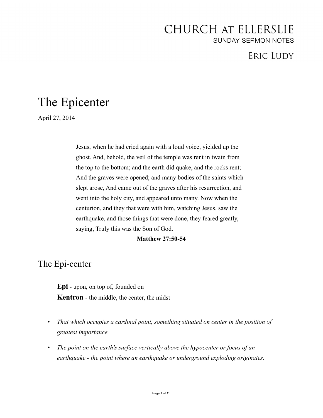# CHURCH AT ELLERSLIE

**SUNDAY SERMON NOTES** 

# **ERIC LUDY**

# The Epicenter

April 27, 2014

Jesus, when he had cried again with a loud voice, yielded up the ghost. And, behold, the veil of the temple was rent in twain from the top to the bottom; and the earth did quake, and the rocks rent; And the graves were opened; and many bodies of the saints which slept arose, And came out of the graves after his resurrection, and went into the holy city, and appeared unto many. Now when the centurion, and they that were with him, watching Jesus, saw the earthquake, and those things that were done, they feared greatly, saying, Truly this was the Son of God.

### **Matthew 27:50-54**

The Epi-center

**Epi** - upon, on top of, founded on **Kentron** - the middle, the center, the midst

- *• That which occupies a cardinal point, something situated on center in the position of greatest importance.*
- *• The point on the earth's surface vertically above the hypocenter or focus of an earthquake - the point where an earthquake or underground exploding originates.*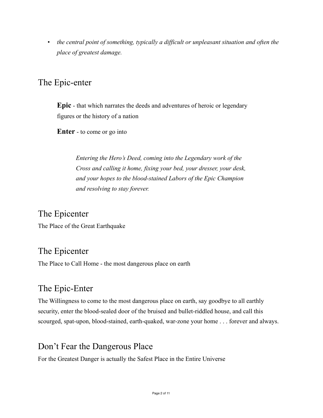*• the central point of something, typically a difficult or unpleasant situation and often the place of greatest damage.* 

# The Epic-enter

**Epic** - that which narrates the deeds and adventures of heroic or legendary figures or the history of a nation

**Enter** - to come or go into

*Entering the Hero's Deed, coming into the Legendary work of the Cross and calling it home, fixing your bed, your dresser, your desk, and your hopes to the blood-stained Labors of the Epic Champion and resolving to stay forever.* 

# The Epicenter

The Place of the Great Earthquake

## The Epicenter

The Place to Call Home - the most dangerous place on earth

# The Epic-Enter

The Willingness to come to the most dangerous place on earth, say goodbye to all earthly security, enter the blood-sealed door of the bruised and bullet-riddled house, and call this scourged, spat-upon, blood-stained, earth-quaked, war-zone your home . . . forever and always.

## Don't Fear the Dangerous Place

For the Greatest Danger is actually the Safest Place in the Entire Universe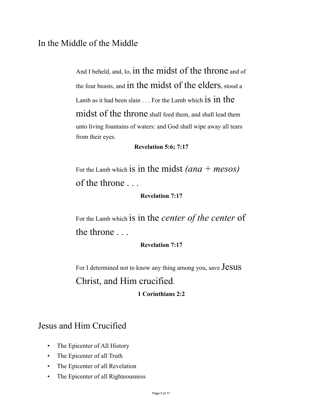# In the Middle of the Middle

And I beheld, and, lo, in the midst of the throne and of the four beasts, and in the midst of the elders, stood a Lamb as it had been slain  $\ldots$  For the Lamb which **1S 1D the** midst of the throne shall feed them, and shall lead them unto living fountains of waters: and God shall wipe away all tears from their eyes.

### **Revelation 5:6; 7:17**

For the Lamb which is in the midst *(ana + mesos)* of the throne . . .

### **Revelation 7:17**

For the Lamb which is in the *center of the center* of the throne . . .

### **Revelation 7:17**

For I determined not to know any thing among you, save Jesus Christ, and Him crucified.

### **1 Corinthians 2:2**

# Jesus and Him Crucified

- The Epicenter of All History
- The Epicenter of all Truth
- The Epicenter of all Revelation
- The Epicenter of all Righteousness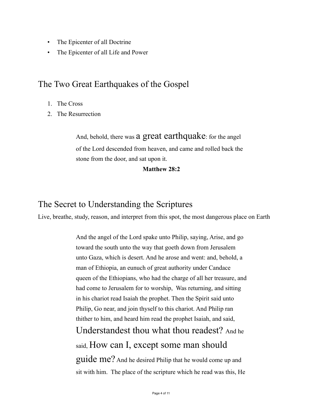- The Epicenter of all Doctrine
- The Epicenter of all Life and Power

### The Two Great Earthquakes of the Gospel

- 1. The Cross
- 2. The Resurrection

And, behold, there was a great earthquake: for the angel of the Lord descended from heaven, and came and rolled back the stone from the door, and sat upon it.

### **Matthew 28:2**

## The Secret to Understanding the Scriptures

Live, breathe, study, reason, and interpret from this spot, the most dangerous place on Earth

And the angel of the Lord spake unto Philip, saying, Arise, and go toward the south unto the way that goeth down from Jerusalem unto Gaza, which is desert. And he arose and went: and, behold, a man of Ethiopia, an eunuch of great authority under Candace queen of the Ethiopians, who had the charge of all her treasure, and had come to Jerusalem for to worship, Was returning, and sitting in his chariot read Isaiah the prophet. Then the Spirit said unto Philip, Go near, and join thyself to this chariot. And Philip ran thither to him, and heard him read the prophet Isaiah, and said, Understandest thou what thou readest? And he said, How can I, except some man should guide me? And he desired Philip that he would come up and sit with him. The place of the scripture which he read was this, He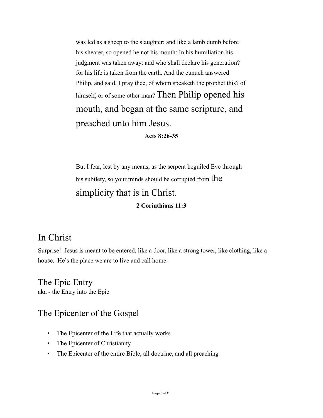was led as a sheep to the slaughter; and like a lamb dumb before his shearer, so opened he not his mouth: In his humiliation his judgment was taken away: and who shall declare his generation? for his life is taken from the earth. And the eunuch answered Philip, and said, I pray thee, of whom speaketh the prophet this? of himself, or of some other man? Then Philip opened his mouth, and began at the same scripture, and preached unto him Jesus.

#### **Acts 8:26-35**

But I fear, lest by any means, as the serpent beguiled Eve through his subtlety, so your minds should be corrupted from the simplicity that is in Christ. **2 Corinthians 11:3** 

# In Christ

Surprise! Jesus is meant to be entered, like a door, like a strong tower, like clothing, like a house. He's the place we are to live and call home.

The Epic Entry aka - the Entry into the Epic

### The Epicenter of the Gospel

- The Epicenter of the Life that actually works
- The Epicenter of Christianity
- The Epicenter of the entire Bible, all doctrine, and all preaching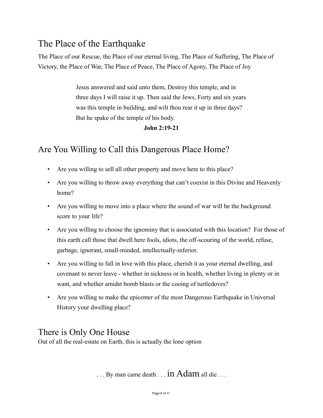# The Place of the Earthquake

The Place of our Rescue, the Place of our eternal living, The Place of Suffering, The Place of Victory, the Place of War, The Place of Peace, The Place of Agony, The Place of Joy

> Jesus answered and said unto them, Destroy this temple, and in three days I will raise it up. Then said the Jews, Forty and six years was this temple in building, and wilt thou rear it up in three days? But he spake of the temple of his body.

### **John 2:19-21**

# Are You Willing to Call this Dangerous Place Home?

- Are you willing to sell all other property and move here to this place?
- Are you willing to throw away everything that can't coexist in this Divine and Heavenly home?
- Are you willing to move into a place where the sound of war will be the background score to your life?
- Are you willing to choose the ignominy that is associated with this location? For those of this earth call those that dwell here fools, idiots, the off-scouring of the world, refuse, garbage, ignorant, small-minded, intellectually-inferior.
- Are you willing to fall in love with this place, cherish it as your eternal dwelling, and covenant to never leave - whether in sickness or in health, whether living in plenty or in want, and whether amidst bomb blasts or the cooing of turtledoves?
- Are you willing to make the epicenter of the most Dangerous Earthquake in Universal History your dwelling place?

# There is Only One House

Out of all the real-estate on Earth, this is actually the lone option

 $\ldots$  By man came death  $\ldots$  in Adam all die  $\ldots$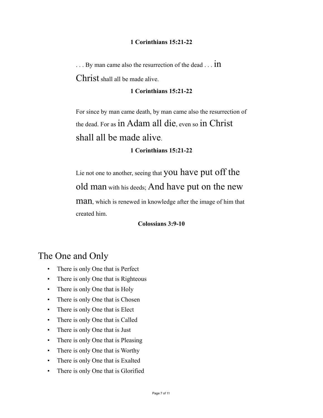### **1 Corinthians 15:21-22**

... By man came also the resurrection of the dead ... **in** Christ shall all be made alive.

### **1 Corinthians 15:21-22**

For since by man came death, by man came also the resurrection of the dead. For as in Adam all die, even so in Christ shall all be made alive.

### **1 Corinthians 15:21-22**

Lie not one to another, seeing that you have put off the old man with his deeds; And have put on the new man, which is renewed in knowledge after the image of him that created him.

### **Colossians 3:9-10**

# The One and Only

- There is only One that is Perfect
- There is only One that is Righteous
- There is only One that is Holy
- There is only One that is Chosen
- There is only One that is Elect
- There is only One that is Called
- There is only One that is Just
- There is only One that is Pleasing
- There is only One that is Worthy
- There is only One that is Exalted
- There is only One that is Glorified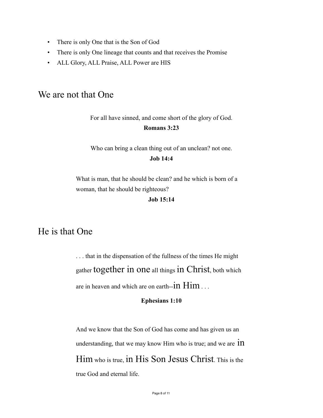- There is only One that is the Son of God
- There is only One lineage that counts and that receives the Promise
- ALL Glory, ALL Praise, ALL Power are HIS

## We are not that One

For all have sinned, and come short of the glory of God.

#### **Romans 3:23**

Who can bring a clean thing out of an unclean? not one.

### **Job 14:4**

What is man, that he should be clean? and he which is born of a woman, that he should be righteous?

**Job 15:14** 

# He is that One

. . . that in the dispensation of the fullness of the times He might gather together in one all things in Christ, both which are in heaven and which are on earth--in Him . . .

#### **Ephesians 1:10**

And we know that the Son of God has come and has given us an understanding, that we may know Him who is true; and we are  $1n$ Him who is true, in His Son Jesus Christ. This is the true God and eternal life.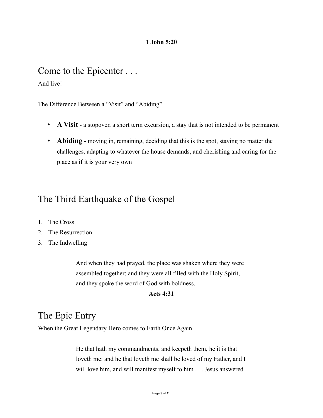### **1 John 5:20**

# Come to the Epicenter . . .

And live!

The Difference Between a "Visit" and "Abiding"

- **A Visit** a stopover, a short term excursion, a stay that is not intended to be permanent
- **Abiding** moving in, remaining, deciding that this is the spot, staying no matter the challenges, adapting to whatever the house demands, and cherishing and caring for the place as if it is your very own

# The Third Earthquake of the Gospel

- 1. The Cross
- 2. The Resurrection
- 3. The Indwelling

And when they had prayed, the place was shaken where they were assembled together; and they were all filled with the Holy Spirit, and they spoke the word of God with boldness.

### **Acts 4:31**

# The Epic Entry

When the Great Legendary Hero comes to Earth Once Again

He that hath my commandments, and keepeth them, he it is that loveth me: and he that loveth me shall be loved of my Father, and I will love him, and will manifest myself to him . . . Jesus answered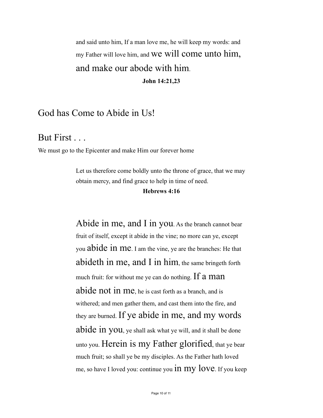and said unto him, If a man love me, he will keep my words: and my Father will love him, and We will come unto him, and make our abode with him. **John 14:21,23** 

# God has Come to Abide in Us!

But First . . .

We must go to the Epicenter and make Him our forever home

Let us therefore come boldly unto the throne of grace, that we may obtain mercy, and find grace to help in time of need. **Hebrews 4:16** 

Abide in me, and I in you. As the branch cannot bear fruit of itself, except it abide in the vine; no more can ye, except you abide in me. I am the vine, ye are the branches: He that abideth in me, and I in him, the same bringeth forth much fruit: for without me ye can do nothing. If  $a$  man abide not in me, he is cast forth as a branch, and is withered; and men gather them, and cast them into the fire, and they are burned. If ye abide in me, and my words abide in you, ye shall ask what ye will, and it shall be done unto you. Herein is my Father glorified, that ye bear much fruit; so shall ye be my disciples. As the Father hath loved me, so have I loved you: continue you **in my love**. If you keep